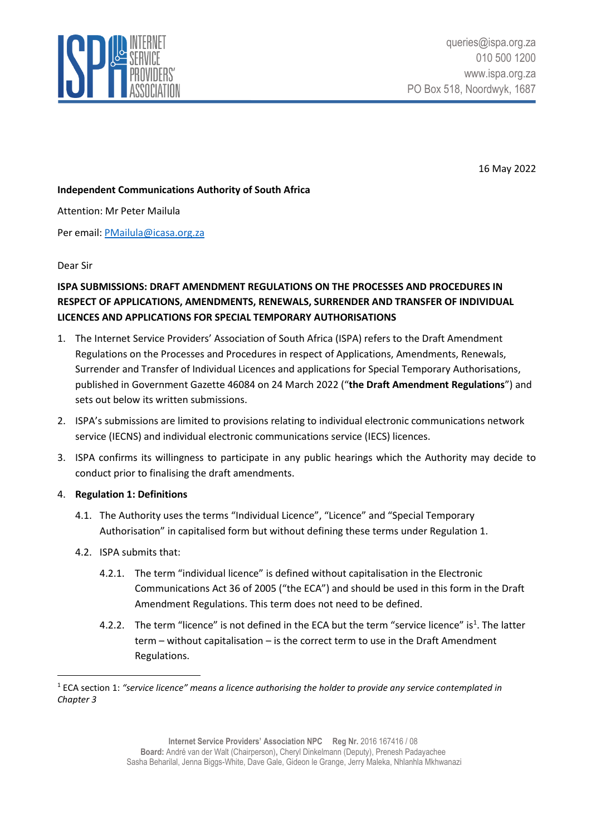

16 May 2022

## **Independent Communications Authority of South Africa**

Attention: Mr Peter Mailula

Per email: [PMailula@icasa.org.za](mailto:PMailula@icasa.org.za)

#### Dear Sir

# **ISPA SUBMISSIONS: DRAFT AMENDMENT REGULATIONS ON THE PROCESSES AND PROCEDURES IN RESPECT OF APPLICATIONS, AMENDMENTS, RENEWALS, SURRENDER AND TRANSFER OF INDIVIDUAL LICENCES AND APPLICATIONS FOR SPECIAL TEMPORARY AUTHORISATIONS**

- 1. The Internet Service Providers' Association of South Africa (ISPA) refers to the Draft Amendment Regulations on the Processes and Procedures in respect of Applications, Amendments, Renewals, Surrender and Transfer of Individual Licences and applications for Special Temporary Authorisations, published in Government Gazette 46084 on 24 March 2022 ("**the Draft Amendment Regulations**") and sets out below its written submissions.
- 2. ISPA's submissions are limited to provisions relating to individual electronic communications network service (IECNS) and individual electronic communications service (IECS) licences.
- 3. ISPA confirms its willingness to participate in any public hearings which the Authority may decide to conduct prior to finalising the draft amendments.
- 4. **Regulation 1: Definitions**
	- 4.1. The Authority uses the terms "Individual Licence", "Licence" and "Special Temporary Authorisation" in capitalised form but without defining these terms under Regulation 1.
	- 4.2. ISPA submits that:
		- 4.2.1. The term "individual licence" is defined without capitalisation in the Electronic Communications Act 36 of 2005 ("the ECA") and should be used in this form in the Draft Amendment Regulations. This term does not need to be defined.
		- 4.2.2. The term "licence" is not defined in the ECA but the term "service licence" is<sup>1</sup>. The latter term – without capitalisation – is the correct term to use in the Draft Amendment Regulations.

<sup>1</sup> ECA section 1: *"service licence" means a licence authorising the holder to provide any service contemplated in Chapter 3*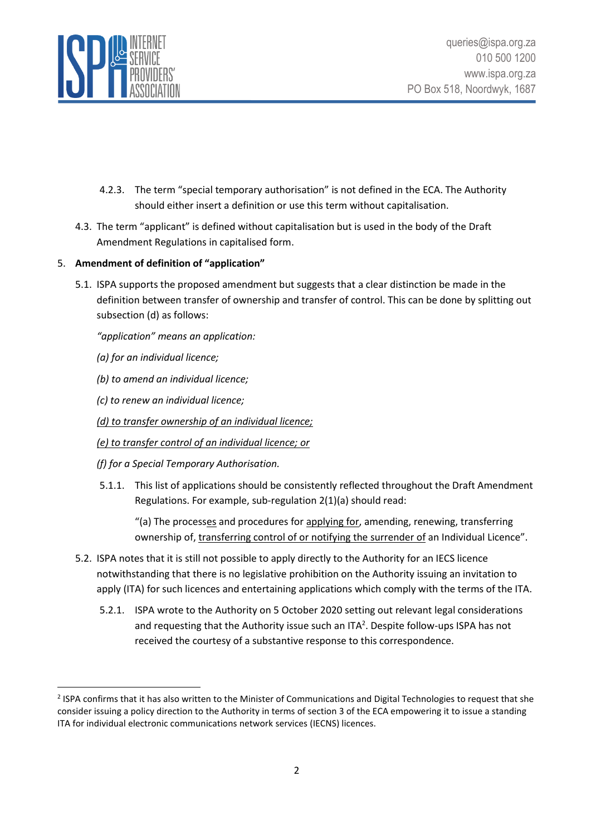

- 4.2.3. The term "special temporary authorisation" is not defined in the ECA. The Authority should either insert a definition or use this term without capitalisation.
- 4.3. The term "applicant" is defined without capitalisation but is used in the body of the Draft Amendment Regulations in capitalised form.

# 5. **Amendment of definition of "application"**

5.1. ISPA supports the proposed amendment but suggests that a clear distinction be made in the definition between transfer of ownership and transfer of control. This can be done by splitting out subsection (d) as follows:

*"application" means an application:*

- *(a) for an individual licence;*
- *(b) to amend an individual licence;*
- *(c) to renew an individual licence;*
- *(d) to transfer ownership of an individual licence;*
- *(e) to transfer control of an individual licence; or*
- *(f) for a Special Temporary Authorisation.*
- 5.1.1. This list of applications should be consistently reflected throughout the Draft Amendment Regulations. For example, sub-regulation 2(1)(a) should read:

"(a) The processes and procedures for applying for, amending, renewing, transferring ownership of, transferring control of or notifying the surrender of an Individual Licence".

- 5.2. ISPA notes that it is still not possible to apply directly to the Authority for an IECS licence notwithstanding that there is no legislative prohibition on the Authority issuing an invitation to apply (ITA) for such licences and entertaining applications which comply with the terms of the ITA.
	- 5.2.1. ISPA wrote to the Authority on 5 October 2020 setting out relevant legal considerations and requesting that the Authority issue such an ITA<sup>2</sup>. Despite follow-ups ISPA has not received the courtesy of a substantive response to this correspondence.

 $2$  ISPA confirms that it has also written to the Minister of Communications and Digital Technologies to request that she consider issuing a policy direction to the Authority in terms of section 3 of the ECA empowering it to issue a standing ITA for individual electronic communications network services (IECNS) licences.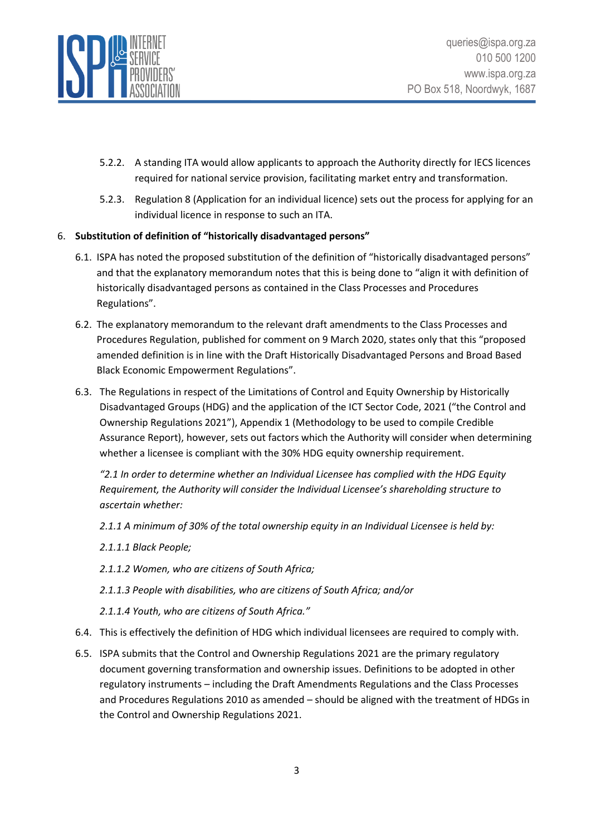

- 5.2.2. A standing ITA would allow applicants to approach the Authority directly for IECS licences required for national service provision, facilitating market entry and transformation.
- 5.2.3. Regulation 8 (Application for an individual licence) sets out the process for applying for an individual licence in response to such an ITA.

## 6. **Substitution of definition of "historically disadvantaged persons"**

- 6.1. ISPA has noted the proposed substitution of the definition of "historically disadvantaged persons" and that the explanatory memorandum notes that this is being done to "align it with definition of historically disadvantaged persons as contained in the Class Processes and Procedures Regulations".
- 6.2. The explanatory memorandum to the relevant draft amendments to the Class Processes and Procedures Regulation, published for comment on 9 March 2020, states only that this "proposed amended definition is in line with the Draft Historically Disadvantaged Persons and Broad Based Black Economic Empowerment Regulations".
- 6.3. The Regulations in respect of the Limitations of Control and Equity Ownership by Historically Disadvantaged Groups (HDG) and the application of the ICT Sector Code, 2021 ("the Control and Ownership Regulations 2021"), Appendix 1 (Methodology to be used to compile Credible Assurance Report), however, sets out factors which the Authority will consider when determining whether a licensee is compliant with the 30% HDG equity ownership requirement.

*"2.1 In order to determine whether an Individual Licensee has complied with the HDG Equity Requirement, the Authority will consider the Individual Licensee's shareholding structure to ascertain whether:* 

*2.1.1 A minimum of 30% of the total ownership equity in an Individual Licensee is held by:* 

- *2.1.1.1 Black People;*
- *2.1.1.2 Women, who are citizens of South Africa;*
- *2.1.1.3 People with disabilities, who are citizens of South Africa; and/or*
- *2.1.1.4 Youth, who are citizens of South Africa."*
- 6.4. This is effectively the definition of HDG which individual licensees are required to comply with.
- 6.5. ISPA submits that the Control and Ownership Regulations 2021 are the primary regulatory document governing transformation and ownership issues. Definitions to be adopted in other regulatory instruments – including the Draft Amendments Regulations and the Class Processes and Procedures Regulations 2010 as amended – should be aligned with the treatment of HDGs in the Control and Ownership Regulations 2021.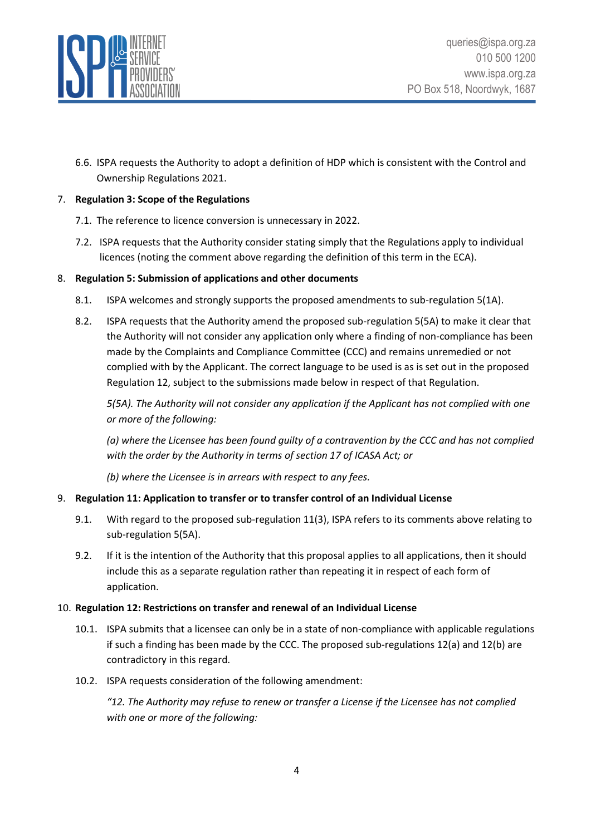

6.6. ISPA requests the Authority to adopt a definition of HDP which is consistent with the Control and Ownership Regulations 2021.

## 7. **Regulation 3: Scope of the Regulations**

- 7.1. The reference to licence conversion is unnecessary in 2022.
- 7.2. ISPA requests that the Authority consider stating simply that the Regulations apply to individual licences (noting the comment above regarding the definition of this term in the ECA).

### 8. **Regulation 5: Submission of applications and other documents**

- 8.1. ISPA welcomes and strongly supports the proposed amendments to sub-regulation 5(1A).
- 8.2. ISPA requests that the Authority amend the proposed sub-regulation 5(5A) to make it clear that the Authority will not consider any application only where a finding of non-compliance has been made by the Complaints and Compliance Committee (CCC) and remains unremedied or not complied with by the Applicant. The correct language to be used is as is set out in the proposed Regulation 12, subject to the submissions made below in respect of that Regulation.

*5(5A). The Authority will not consider any application if the Applicant has not complied with one or more of the following:*

*(a) where the Licensee has been found guilty of a contravention by the CCC and has not complied with the order by the Authority in terms of section 17 of ICASA Act; or*

*(b) where the Licensee is in arrears with respect to any fees.*

## 9. **Regulation 11: Application to transfer or to transfer control of an Individual License**

- 9.1. With regard to the proposed sub-regulation 11(3), ISPA refers to its comments above relating to sub-regulation 5(5A).
- 9.2. If it is the intention of the Authority that this proposal applies to all applications, then it should include this as a separate regulation rather than repeating it in respect of each form of application.

#### 10. **Regulation 12: Restrictions on transfer and renewal of an Individual License**

- 10.1. ISPA submits that a licensee can only be in a state of non-compliance with applicable regulations if such a finding has been made by the CCC. The proposed sub-regulations 12(a) and 12(b) are contradictory in this regard.
- 10.2. ISPA requests consideration of the following amendment:

*"12. The Authority may refuse to renew or transfer a License if the Licensee has not complied with one or more of the following:*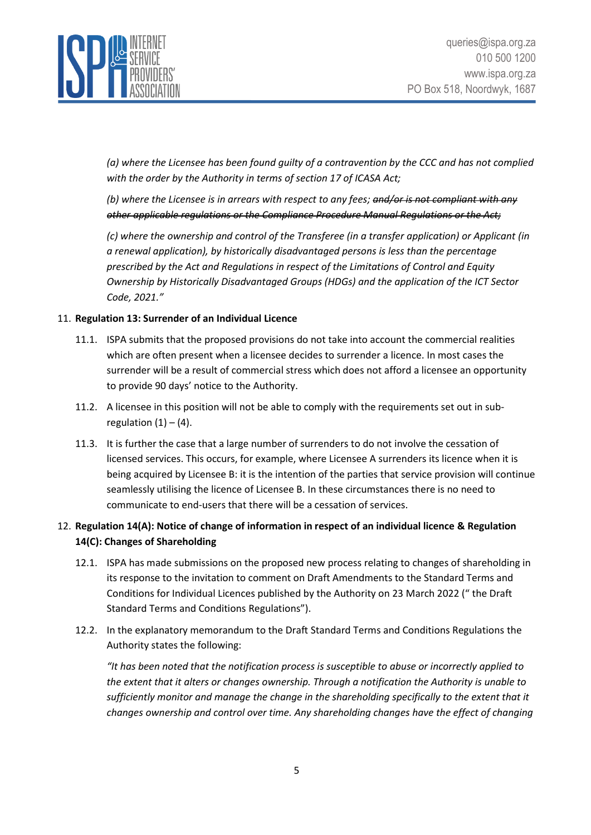

*(a) where the Licensee has been found guilty of a contravention by the CCC and has not complied with the order by the Authority in terms of section 17 of ICASA Act;*

*(b) where the Licensee is in arrears with respect to any fees; and/or is not compliant with any other applicable regulations or the Compliance Procedure Manual Regulations or the Act;*

*(c) where the ownership and control of the Transferee (in a transfer application) or Applicant (in a renewal application), by historically disadvantaged persons is less than the percentage prescribed by the Act and Regulations in respect of the Limitations of Control and Equity Ownership by Historically Disadvantaged Groups (HDGs) and the application of the ICT Sector Code, 2021."*

### 11. **Regulation 13: Surrender of an Individual Licence**

- 11.1. ISPA submits that the proposed provisions do not take into account the commercial realities which are often present when a licensee decides to surrender a licence. In most cases the surrender will be a result of commercial stress which does not afford a licensee an opportunity to provide 90 days' notice to the Authority.
- 11.2. A licensee in this position will not be able to comply with the requirements set out in subregulation  $(1) - (4)$ .
- 11.3. It is further the case that a large number of surrenders to do not involve the cessation of licensed services. This occurs, for example, where Licensee A surrenders its licence when it is being acquired by Licensee B: it is the intention of the parties that service provision will continue seamlessly utilising the licence of Licensee B. In these circumstances there is no need to communicate to end-users that there will be a cessation of services.

# 12. **Regulation 14(A): Notice of change of information in respect of an individual licence & Regulation 14(C): Changes of Shareholding**

- 12.1. ISPA has made submissions on the proposed new process relating to changes of shareholding in its response to the invitation to comment on Draft Amendments to the Standard Terms and Conditions for Individual Licences published by the Authority on 23 March 2022 (" the Draft Standard Terms and Conditions Regulations").
- 12.2. In the explanatory memorandum to the Draft Standard Terms and Conditions Regulations the Authority states the following:

*"It has been noted that the notification process is susceptible to abuse or incorrectly applied to the extent that it alters or changes ownership. Through a notification the Authority is unable to sufficiently monitor and manage the change in the shareholding specifically to the extent that it changes ownership and control over time. Any shareholding changes have the effect of changing*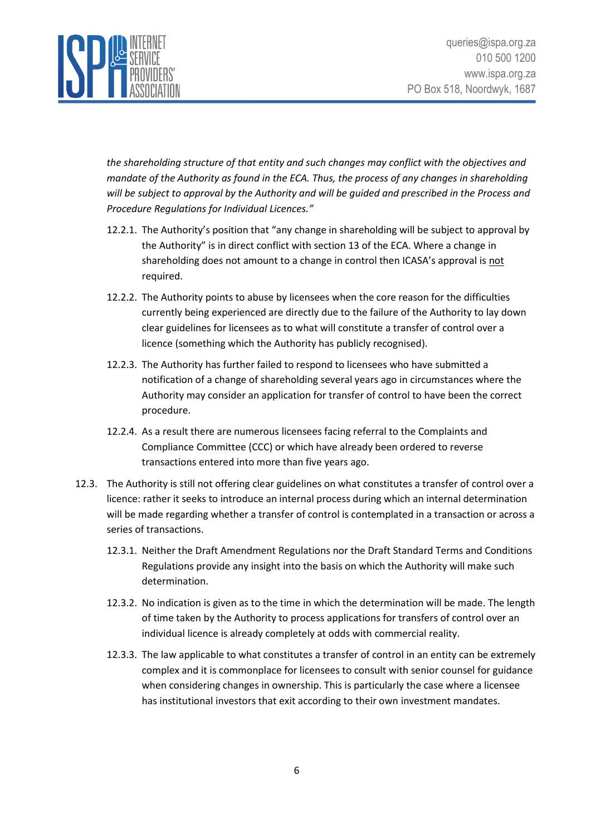

*the shareholding structure of that entity and such changes may conflict with the objectives and mandate of the Authority as found in the ECA. Thus, the process of any changes in shareholding will be subject to approval by the Authority and will be guided and prescribed in the Process and Procedure Regulations for Individual Licences."*

- 12.2.1. The Authority's position that "any change in shareholding will be subject to approval by the Authority" is in direct conflict with section 13 of the ECA. Where a change in shareholding does not amount to a change in control then ICASA's approval is not required.
- 12.2.2. The Authority points to abuse by licensees when the core reason for the difficulties currently being experienced are directly due to the failure of the Authority to lay down clear guidelines for licensees as to what will constitute a transfer of control over a licence (something which the Authority has publicly recognised).
- 12.2.3. The Authority has further failed to respond to licensees who have submitted a notification of a change of shareholding several years ago in circumstances where the Authority may consider an application for transfer of control to have been the correct procedure.
- 12.2.4. As a result there are numerous licensees facing referral to the Complaints and Compliance Committee (CCC) or which have already been ordered to reverse transactions entered into more than five years ago.
- 12.3. The Authority is still not offering clear guidelines on what constitutes a transfer of control over a licence: rather it seeks to introduce an internal process during which an internal determination will be made regarding whether a transfer of control is contemplated in a transaction or across a series of transactions.
	- 12.3.1. Neither the Draft Amendment Regulations nor the Draft Standard Terms and Conditions Regulations provide any insight into the basis on which the Authority will make such determination.
	- 12.3.2. No indication is given as to the time in which the determination will be made. The length of time taken by the Authority to process applications for transfers of control over an individual licence is already completely at odds with commercial reality.
	- 12.3.3. The law applicable to what constitutes a transfer of control in an entity can be extremely complex and it is commonplace for licensees to consult with senior counsel for guidance when considering changes in ownership. This is particularly the case where a licensee has institutional investors that exit according to their own investment mandates.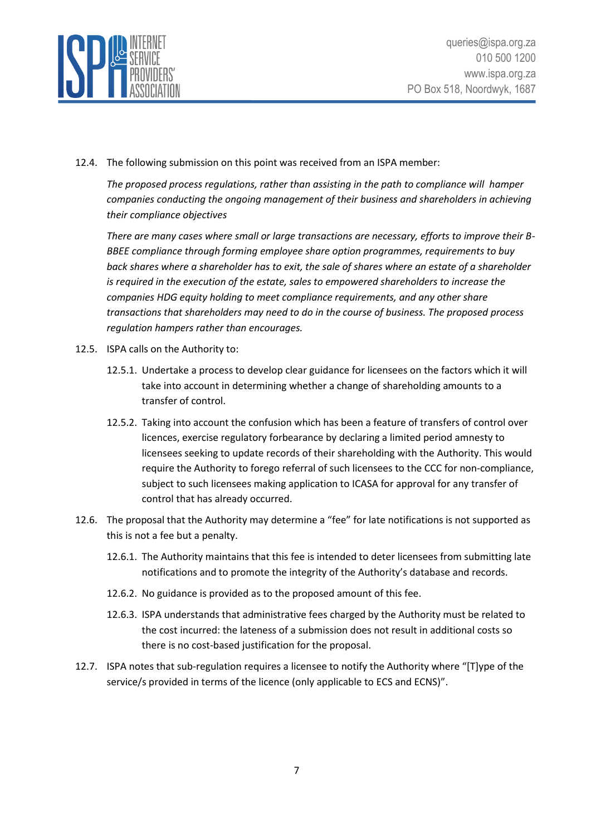

12.4. The following submission on this point was received from an ISPA member:

*The proposed process regulations, rather than assisting in the path to compliance will hamper companies conducting the ongoing management of their business and shareholders in achieving their compliance objectives*

*There are many cases where small or large transactions are necessary, efforts to improve their B-BBEE compliance through forming employee share option programmes, requirements to buy back shares where a shareholder has to exit, the sale of shares where an estate of a shareholder is required in the execution of the estate, sales to empowered shareholders to increase the companies HDG equity holding to meet compliance requirements, and any other share transactions that shareholders may need to do in the course of business. The proposed process regulation hampers rather than encourages.*

- 12.5. ISPA calls on the Authority to:
	- 12.5.1. Undertake a process to develop clear guidance for licensees on the factors which it will take into account in determining whether a change of shareholding amounts to a transfer of control.
	- 12.5.2. Taking into account the confusion which has been a feature of transfers of control over licences, exercise regulatory forbearance by declaring a limited period amnesty to licensees seeking to update records of their shareholding with the Authority. This would require the Authority to forego referral of such licensees to the CCC for non-compliance, subject to such licensees making application to ICASA for approval for any transfer of control that has already occurred.
- 12.6. The proposal that the Authority may determine a "fee" for late notifications is not supported as this is not a fee but a penalty.
	- 12.6.1. The Authority maintains that this fee is intended to deter licensees from submitting late notifications and to promote the integrity of the Authority's database and records.
	- 12.6.2. No guidance is provided as to the proposed amount of this fee.
	- 12.6.3. ISPA understands that administrative fees charged by the Authority must be related to the cost incurred: the lateness of a submission does not result in additional costs so there is no cost-based justification for the proposal.
- 12.7. ISPA notes that sub-regulation requires a licensee to notify the Authority where "[T]ype of the service/s provided in terms of the licence (only applicable to ECS and ECNS)".